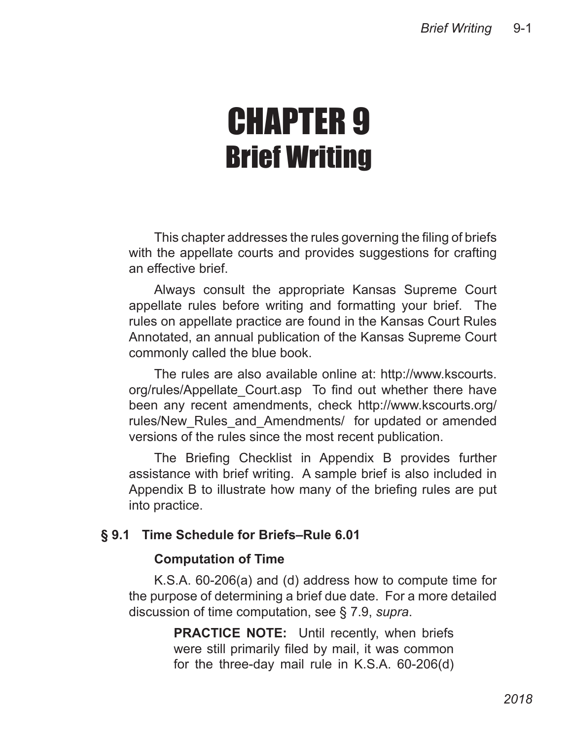# CHAPTER 9 Brief Writing

This chapter addresses the rules governing the filing of briefs with the appellate courts and provides suggestions for crafting an effective brief.

Always consult the appropriate Kansas Supreme Court appellate rules before writing and formatting your brief. The rules on appellate practice are found in the Kansas Court Rules Annotated, an annual publication of the Kansas Supreme Court commonly called the blue book.

The rules are also available online at: http://www.kscourts. org/rules/Appellate\_Court.asp To find out whether there have been any recent amendments, check http://www.kscourts.org/ rules/New Rules and Amendments/ for updated or amended versions of the rules since the most recent publication.

The Briefing Checklist in Appendix B provides further assistance with brief writing. A sample brief is also included in Appendix B to illustrate how many of the briefing rules are put into practice.

# **§ 9.1 Time Schedule for Briefs–Rule 6.01**

## **Computation of Time**

K.S.A. 60-206(a) and (d) address how to compute time for the purpose of determining a brief due date. For a more detailed discussion of time computation, see § 7.9, *supra*.

> **PRACTICE NOTE:** Until recently, when briefs were still primarily filed by mail, it was common for the three-day mail rule in K.S.A. 60-206(d)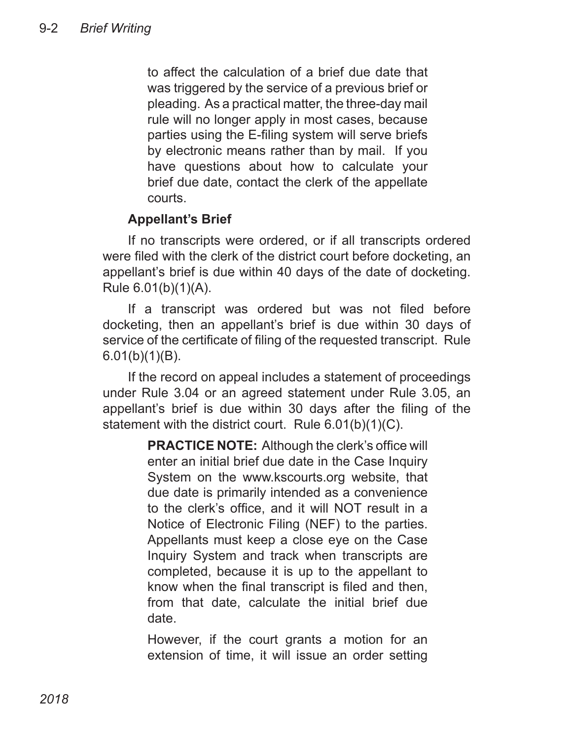to affect the calculation of a brief due date that was triggered by the service of a previous brief or pleading. As a practical matter, the three-day mail rule will no longer apply in most cases, because parties using the E-filing system will serve briefs by electronic means rather than by mail. If you have questions about how to calculate your brief due date, contact the clerk of the appellate courts.

# **Appellant's Brief**

If no transcripts were ordered, or if all transcripts ordered were filed with the clerk of the district court before docketing, an appellant's brief is due within 40 days of the date of docketing. Rule 6.01(b)(1)(A).

If a transcript was ordered but was not filed before docketing, then an appellant's brief is due within 30 days of service of the certificate of filing of the requested transcript. Rule 6.01(b)(1)(B).

If the record on appeal includes a statement of proceedings under Rule 3.04 or an agreed statement under Rule 3.05, an appellant's brief is due within 30 days after the filing of the statement with the district court. Rule 6.01(b)(1)(C).

> **PRACTICE NOTE:** Although the clerk's office will enter an initial brief due date in the Case Inquiry System on the www.kscourts.org website, that due date is primarily intended as a convenience to the clerk's office, and it will NOT result in a Notice of Electronic Filing (NEF) to the parties. Appellants must keep a close eye on the Case Inquiry System and track when transcripts are completed, because it is up to the appellant to know when the final transcript is filed and then, from that date, calculate the initial brief due date.

> However, if the court grants a motion for an extension of time, it will issue an order setting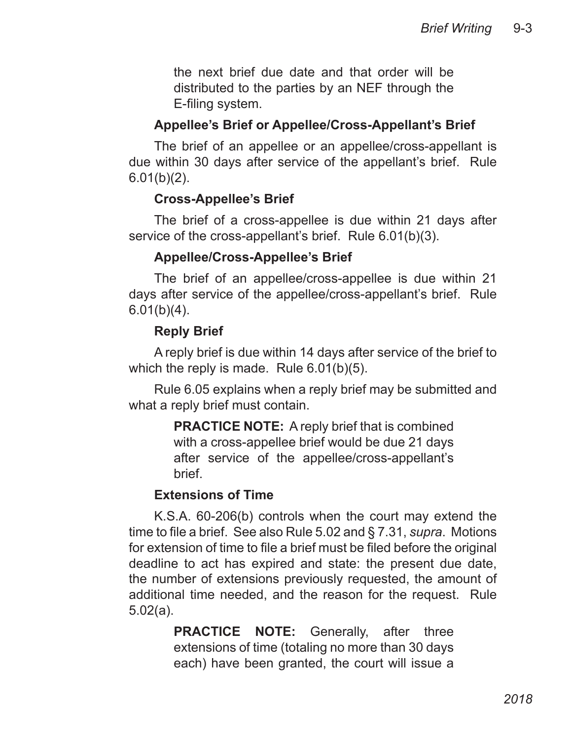the next brief due date and that order will be distributed to the parties by an NEF through the E-filing system.

#### **Appellee's Brief or Appellee/Cross-Appellant's Brief**

The brief of an appellee or an appellee/cross-appellant is due within 30 days after service of the appellant's brief. Rule  $6.01(b)(2)$ .

#### **Cross-Appellee's Brief**

The brief of a cross-appellee is due within 21 days after service of the cross-appellant's brief. Rule 6.01(b)(3).

#### **Appellee/Cross-Appellee's Brief**

The brief of an appellee/cross-appellee is due within 21 days after service of the appellee/cross-appellant's brief. Rule  $6.01(b)(4)$ .

#### **Reply Brief**

A reply brief is due within 14 days after service of the brief to which the reply is made. Rule 6.01(b)(5).

Rule 6.05 explains when a reply brief may be submitted and what a reply brief must contain.

> **PRACTICE NOTE:** A reply brief that is combined with a cross-appellee brief would be due 21 days after service of the appellee/cross-appellant's brief.

#### **Extensions of Time**

K.S.A. 60-206(b) controls when the court may extend the time to file a brief. See also Rule 5.02 and § 7.31, *supra*. Motions for extension of time to file a brief must be filed before the original deadline to act has expired and state: the present due date, the number of extensions previously requested, the amount of additional time needed, and the reason for the request. Rule 5.02(a).

> **PRACTICE NOTE:** Generally, after three extensions of time (totaling no more than 30 days each) have been granted, the court will issue a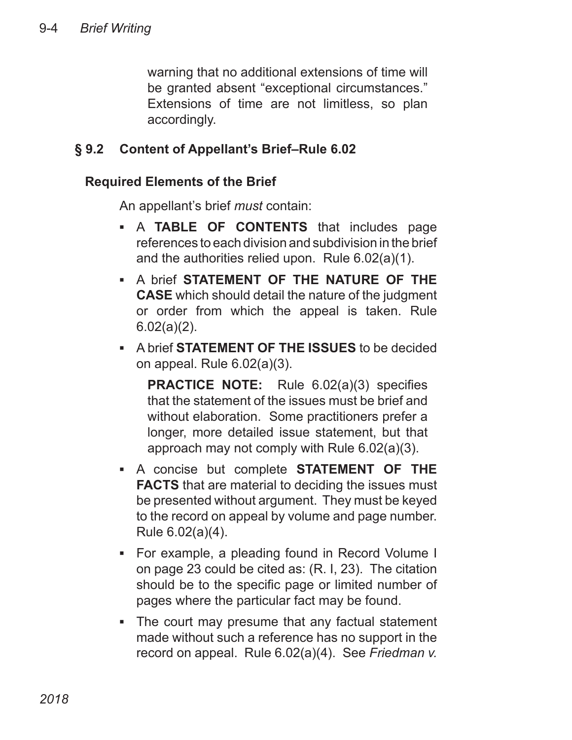warning that no additional extensions of time will be granted absent "exceptional circumstances." Extensions of time are not limitless, so plan accordingly.

# **§ 9.2 Content of Appellant's Brief–Rule 6.02**

# **Required Elements of the Brief**

An appellant's brief *must* contain:

- **A TABLE OF CONTENTS** that includes page references to each division and subdivision in the brief and the authorities relied upon. Rule 6.02(a)(1).
- **A brief STATEMENT OF THE NATURE OF THE CASE** which should detail the nature of the judgment or order from which the appeal is taken. Rule 6.02(a)(2).
- A brief **STATEMENT OF THE ISSUES** to be decided on appeal. Rule 6.02(a)(3).

**PRACTICE NOTE:** Rule 6.02(a)(3) specifies that the statement of the issues must be brief and without elaboration. Some practitioners prefer a longer, more detailed issue statement, but that approach may not comply with Rule 6.02(a)(3).

- A concise but complete **STATEMENT OF THE FACTS** that are material to deciding the issues must be presented without argument. They must be keyed to the record on appeal by volume and page number. Rule 6.02(a)(4).
- For example, a pleading found in Record Volume I on page 23 could be cited as: (R. I, 23). The citation should be to the specific page or limited number of pages where the particular fact may be found.
- The court may presume that any factual statement ▪made without such a reference has no support in the record on appeal. Rule 6.02(a)(4). See *Friedman v.*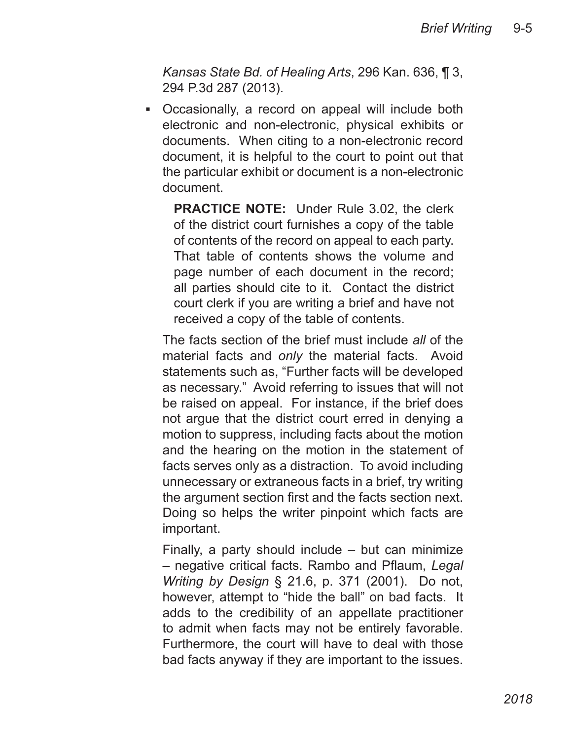*Kansas State Bd. of Healing Arts*, 296 Kan. 636, ¶ 3, 294 P.3d 287 (2013).

• Occasionally, a record on appeal will include both electronic and non-electronic, physical exhibits or documents. When citing to a non-electronic record document, it is helpful to the court to point out that the particular exhibit or document is a non-electronic document.

**PRACTICE NOTE:** Under Rule 3.02, the clerk of the district court furnishes a copy of the table of contents of the record on appeal to each party. That table of contents shows the volume and page number of each document in the record; all parties should cite to it. Contact the district court clerk if you are writing a brief and have not received a copy of the table of contents.

The facts section of the brief must include *all* of the material facts and *only* the material facts. Avoid statements such as, "Further facts will be developed as necessary." Avoid referring to issues that will not be raised on appeal. For instance, if the brief does not argue that the district court erred in denying a motion to suppress, including facts about the motion and the hearing on the motion in the statement of facts serves only as a distraction. To avoid including unnecessary or extraneous facts in a brief, try writing the argument section first and the facts section next. Doing so helps the writer pinpoint which facts are important.

Finally, a party should include – but can minimize – negative critical facts. Rambo and Pflaum, *Legal Writing by Design* § 21.6, p. 371 (2001). Do not, however, attempt to "hide the ball" on bad facts. It adds to the credibility of an appellate practitioner to admit when facts may not be entirely favorable. Furthermore, the court will have to deal with those bad facts anyway if they are important to the issues.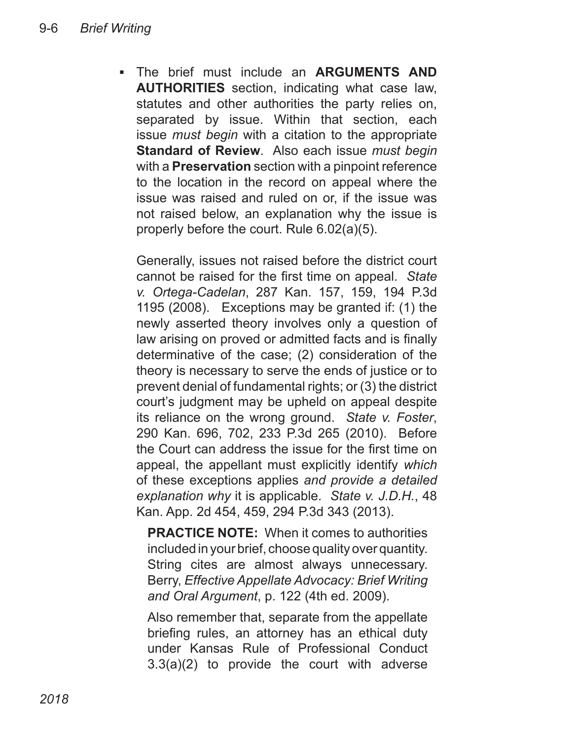The brief must include an **ARGUMENTS AND**  ▪**AUTHORITIES** section, indicating what case law, statutes and other authorities the party relies on, separated by issue. Within that section, each issue *must begin* with a citation to the appropriate **Standard of Review**. Also each issue *must begin* with a **Preservation** section with a pinpoint reference to the location in the record on appeal where the issue was raised and ruled on or, if the issue was not raised below, an explanation why the issue is properly before the court. Rule 6.02(a)(5).

Generally, issues not raised before the district court cannot be raised for the first time on appeal. *State v. Ortega-Cadelan*, 287 Kan. 157, 159, 194 P.3d 1195 (2008). Exceptions may be granted if: (1) the newly asserted theory involves only a question of law arising on proved or admitted facts and is finally determinative of the case; (2) consideration of the theory is necessary to serve the ends of justice or to prevent denial of fundamental rights; or (3) the district court's judgment may be upheld on appeal despite its reliance on the wrong ground. *State v. Foster*, 290 Kan. 696, 702, 233 P.3d 265 (2010). Before the Court can address the issue for the first time on appeal, the appellant must explicitly identify *which* of these exceptions applies *and provide a detailed explanation why* it is applicable. *State v. J.D.H.*, 48 Kan. App. 2d 454, 459, 294 P.3d 343 (2013).

**PRACTICE NOTE:** When it comes to authorities included in your brief, choose quality over quantity. String cites are almost always unnecessary. Berry, *Effective Appellate Advocacy: Brief Writing and Oral Argument*, p. 122 (4th ed. 2009).

Also remember that, separate from the appellate briefing rules, an attorney has an ethical duty under Kansas Rule of Professional Conduct 3.3(a)(2) to provide the court with adverse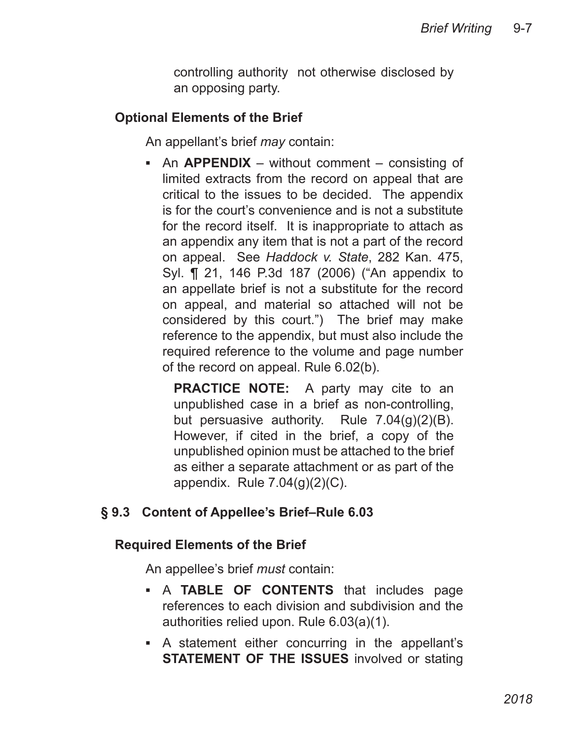controlling authority not otherwise disclosed by an opposing party.

## **Optional Elements of the Brief**

An appellant's brief *may* contain:

**-** An **APPENDIX** – without comment – consisting of limited extracts from the record on appeal that are critical to the issues to be decided. The appendix is for the court's convenience and is not a substitute for the record itself. It is inappropriate to attach as an appendix any item that is not a part of the record on appeal. See *Haddock v. State*, 282 Kan. 475, Syl. ¶ 21, 146 P.3d 187 (2006) ("An appendix to an appellate brief is not a substitute for the record on appeal, and material so attached will not be considered by this court.") The brief may make reference to the appendix, but must also include the required reference to the volume and page number of the record on appeal. Rule 6.02(b).

**PRACTICE NOTE:** A party may cite to an unpublished case in a brief as non-controlling, but persuasive authority. Rule 7.04(g)(2)(B). However, if cited in the brief, a copy of the unpublished opinion must be attached to the brief as either a separate attachment or as part of the appendix. Rule 7.04(g)(2)(C).

# **§ 9.3 Content of Appellee's Brief–Rule 6.03**

## **Required Elements of the Brief**

An appellee's brief *must* contain:

- **A TABLE OF CONTENTS** that includes page references to each division and subdivision and the authorities relied upon. Rule 6.03(a)(1).
- **A** statement either concurring in the appellant's **STATEMENT OF THE ISSUES** involved or stating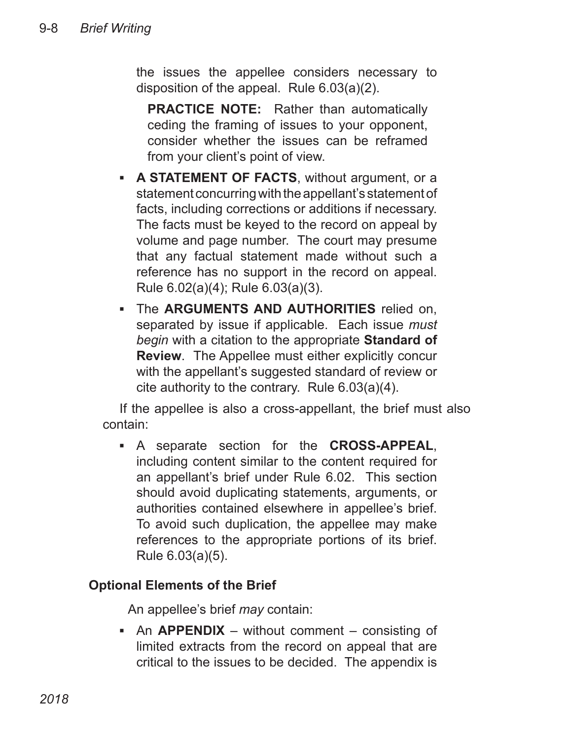the issues the appellee considers necessary to disposition of the appeal. Rule 6.03(a)(2).

**PRACTICE NOTE:** Rather than automatically ceding the framing of issues to your opponent, consider whether the issues can be reframed from your client's point of view.

- **A STATEMENT OF FACTS, without argument, or a** statement concurring with the appellant's statement of facts, including corrections or additions if necessary. The facts must be keyed to the record on appeal by volume and page number. The court may presume that any factual statement made without such a reference has no support in the record on appeal. Rule 6.02(a)(4); Rule 6.03(a)(3).
- **The ARGUMENTS AND AUTHORITIES** relied on, separated by issue if applicable. Each issue *must begin* with a citation to the appropriate **Standard of Review**. The Appellee must either explicitly concur with the appellant's suggested standard of review or cite authority to the contrary. Rule 6.03(a)(4).

If the appellee is also a cross-appellant, the brief must also contain:

A separate section for the **CROSS-APPEAL**, ▪ including content similar to the content required for an appellant's brief under Rule 6.02. This section should avoid duplicating statements, arguments, or authorities contained elsewhere in appellee's brief. To avoid such duplication, the appellee may make references to the appropriate portions of its brief. Rule 6.03(a)(5).

# **Optional Elements of the Brief**

An appellee's brief *may* contain:

**-** An **APPENDIX** – without comment – consisting of limited extracts from the record on appeal that are critical to the issues to be decided. The appendix is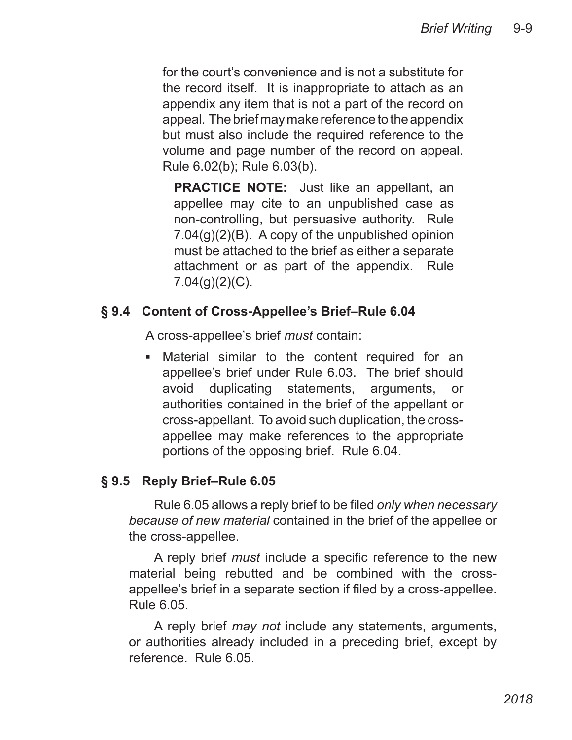for the court's convenience and is not a substitute for the record itself. It is inappropriate to attach as an appendix any item that is not a part of the record on appeal. The brief may make reference to the appendix but must also include the required reference to the volume and page number of the record on appeal. Rule 6.02(b); Rule 6.03(b).

**PRACTICE NOTE:** Just like an appellant, an appellee may cite to an unpublished case as non-controlling, but persuasive authority. Rule 7.04(g)(2)(B). A copy of the unpublished opinion must be attached to the brief as either a separate attachment or as part of the appendix. Rule  $7.04(q)(2)(C)$ .

## **§ 9.4 Content of Cross-Appellee's Brief–Rule 6.04**

A cross-appellee's brief *must* contain:

**BETA:** Material similar to the content required for an appellee's brief under Rule 6.03. The brief should avoid duplicating statements, arguments, or authorities contained in the brief of the appellant or cross-appellant. To avoid such duplication, the crossappellee may make references to the appropriate portions of the opposing brief. Rule 6.04.

## **§ 9.5 Reply Brief–Rule 6.05**

Rule 6.05 allows a reply brief to be filed *only when necessary because of new material* contained in the brief of the appellee or the cross-appellee.

A reply brief *must* include a specific reference to the new material being rebutted and be combined with the crossappellee's brief in a separate section if filed by a cross-appellee. Rule 6.05.

A reply brief *may not* include any statements, arguments, or authorities already included in a preceding brief, except by reference. Rule 6.05.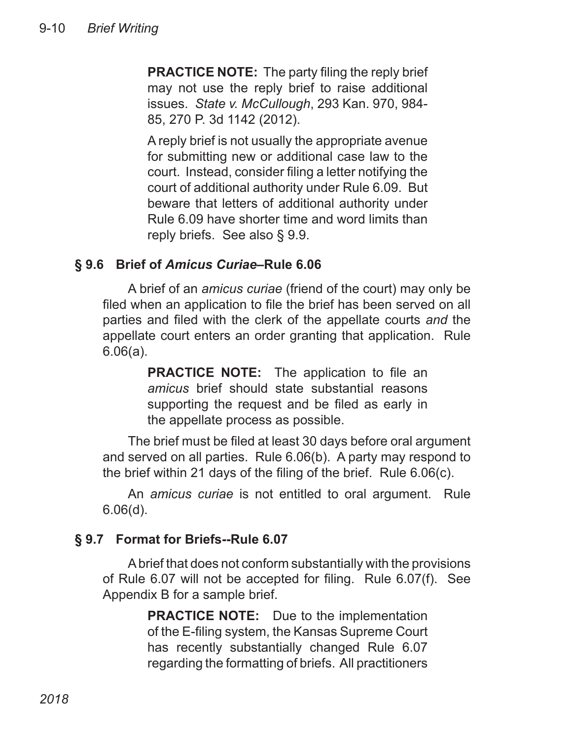**PRACTICE NOTE:** The party filing the reply brief may not use the reply brief to raise additional issues. *State v. McCullough*, 293 Kan. 970, 984- 85, 270 P. 3d 1142 (2012).

A reply brief is not usually the appropriate avenue for submitting new or additional case law to the court. Instead, consider filing a letter notifying the court of additional authority under Rule 6.09. But beware that letters of additional authority under Rule 6.09 have shorter time and word limits than reply briefs. See also § 9.9.

## **§ 9.6 Brief of** *Amicus Curiae***–Rule 6.06**

A brief of an *amicus curiae* (friend of the court) may only be filed when an application to file the brief has been served on all parties and filed with the clerk of the appellate courts *and* the appellate court enters an order granting that application. Rule 6.06(a).

> **PRACTICE NOTE:** The application to file an *amicus* brief should state substantial reasons supporting the request and be filed as early in the appellate process as possible.

The brief must be filed at least 30 days before oral argument and served on all parties. Rule 6.06(b). A party may respond to the brief within 21 days of the filing of the brief. Rule 6.06(c).

An *amicus curiae* is not entitled to oral argument. Rule 6.06(d).

## **§ 9.7 Format for Briefs--Rule 6.07**

A brief that does not conform substantially with the provisions of Rule 6.07 will not be accepted for filing. Rule 6.07(f). See Appendix B for a sample brief.

> **PRACTICE NOTE:** Due to the implementation of the E-filing system, the Kansas Supreme Court has recently substantially changed Rule 6.07 regarding the formatting of briefs. All practitioners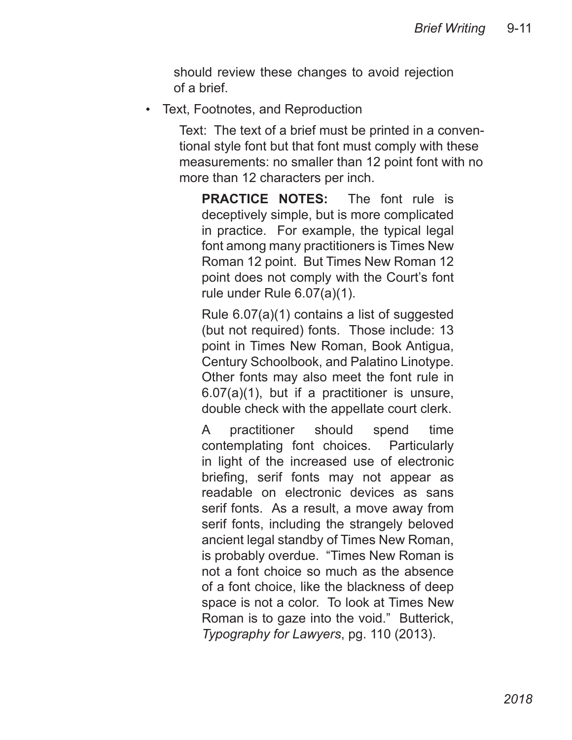should review these changes to avoid rejection of a brief.

• Text, Footnotes, and Reproduction

Text: The text of a brief must be printed in a conventional style font but that font must comply with these measurements: no smaller than 12 point font with no more than 12 characters per inch.

**PRACTICE NOTES:** The font rule is deceptively simple, but is more complicated in practice. For example, the typical legal font among many practitioners is Times New Roman 12 point. But Times New Roman 12 point does not comply with the Court's font rule under Rule 6.07(a)(1).

Rule 6.07(a)(1) contains a list of suggested (but not required) fonts. Those include: 13 point in Times New Roman, Book Antigua, Century Schoolbook, and Palatino Linotype. Other fonts may also meet the font rule in 6.07(a)(1), but if a practitioner is unsure, double check with the appellate court clerk.

A practitioner should spend time contemplating font choices. Particularly in light of the increased use of electronic briefing, serif fonts may not appear as readable on electronic devices as sans serif fonts. As a result, a move away from serif fonts, including the strangely beloved ancient legal standby of Times New Roman, is probably overdue. "Times New Roman is not a font choice so much as the absence of a font choice, like the blackness of deep space is not a color. To look at Times New Roman is to gaze into the void." Butterick, *Typography for Lawyers*, pg. 110 (2013).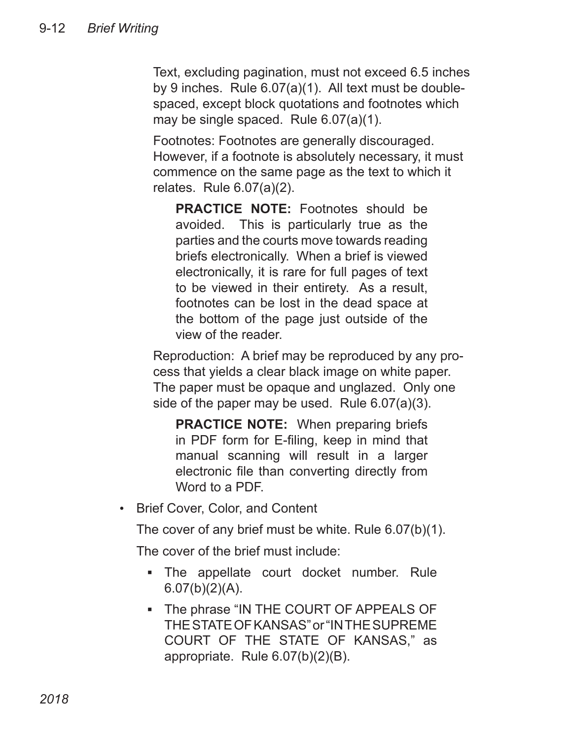Text, excluding pagination, must not exceed 6.5 inches by 9 inches. Rule 6.07(a)(1). All text must be doublespaced, except block quotations and footnotes which may be single spaced. Rule 6.07(a)(1).

Footnotes: Footnotes are generally discouraged. However, if a footnote is absolutely necessary, it must commence on the same page as the text to which it relates. Rule 6.07(a)(2).

**PRACTICE NOTE:** Footnotes should be avoided. This is particularly true as the parties and the courts move towards reading briefs electronically. When a brief is viewed electronically, it is rare for full pages of text to be viewed in their entirety. As a result, footnotes can be lost in the dead space at the bottom of the page just outside of the view of the reader.

Reproduction: A brief may be reproduced by any process that yields a clear black image on white paper. The paper must be opaque and unglazed. Only one side of the paper may be used. Rule 6.07(a)(3).

**PRACTICE NOTE:** When preparing briefs in PDF form for E-filing, keep in mind that manual scanning will result in a larger electronic file than converting directly from Word to a PDF.

Brief Cover, Color, and Content •

The cover of any brief must be white. Rule 6.07(b)(1).

The cover of the brief must include:

- The appellate court docket number. Rule  $6.07(b)(2)(A)$ .
- The phrase "IN THE COURT OF APPEALS OF THE STATE OF KANSAS" or "IN THE SUPREME COURT OF THE STATE OF KANSAS," as appropriate. Rule 6.07(b)(2)(B).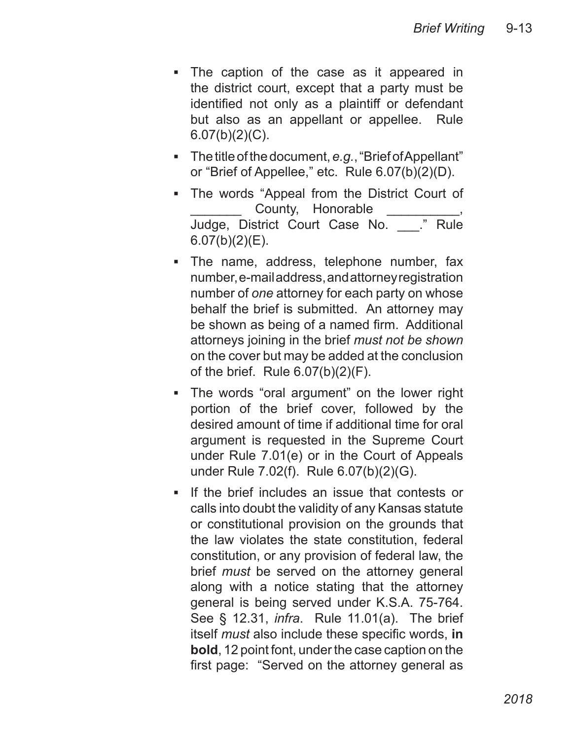- The caption of the case as it appeared in the district court, except that a party must be identified not only as a plaintiff or defendant but also as an appellant or appellee. Rule  $6.07(b)(2)(C)$ . ▪
- The title of the document, *e.g.*, "Brief of Appellant" or "Brief of Appellee," etc. Rule 6.07(b)(2)(D).
- The words "Appeal from the District Court of County, Honorable Judge, District Court Case No. \_\_\_." Rule  $6.07(b)(2)(E)$ .
- The name, address, telephone number, fax number, e-mail address, and attorney registration number of *one* attorney for each party on whose behalf the brief is submitted. An attorney may be shown as being of a named firm. Additional attorneys joining in the brief *must not be shown* on the cover but may be added at the conclusion of the brief. Rule 6.07(b)(2)(F).
- The words "oral argument" on the lower right portion of the brief cover, followed by the desired amount of time if additional time for oral argument is requested in the Supreme Court under Rule 7.01(e) or in the Court of Appeals under Rule 7.02(f). Rule 6.07(b)(2)(G). ▪
- **If the brief includes an issue that contests or** calls into doubt the validity of any Kansas statute or constitutional provision on the grounds that the law violates the state constitution, federal constitution, or any provision of federal law, the brief *must* be served on the attorney general along with a notice stating that the attorney general is being served under K.S.A. 75-764. See § 12.31, *infra*. Rule 11.01(a). The brief itself *must* also include these specific words, **in bold**, 12 point font, under the case caption on the first page: "Served on the attorney general as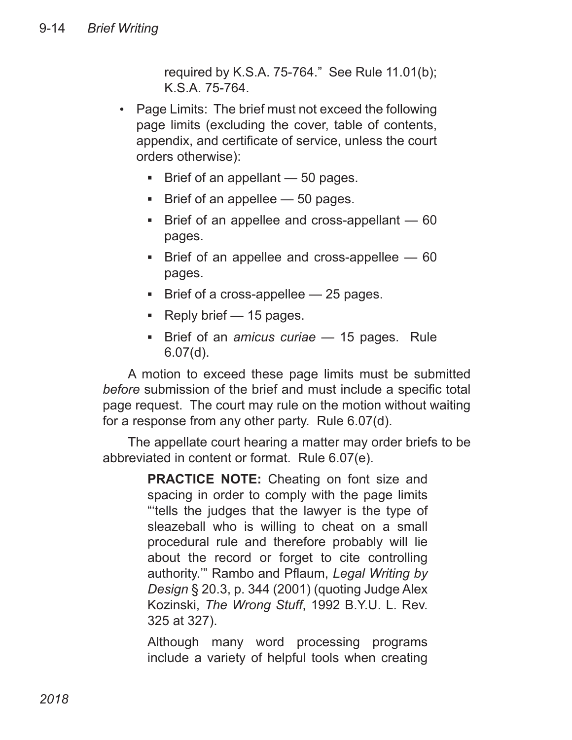required by K.S.A. 75-764." See Rule 11.01(b); K.S.A. 75-764.

- Page Limits: The brief must not exceed the following page limits (excluding the cover, table of contents, appendix, and certificate of service, unless the court orders otherwise):
	- Brief of an appellant 50 pages.
	- Brief of an appellee 50 pages.
	- **Brief of an appellee and cross-appellant 60** pages.
	- **Brief of an appellee and cross-appellee 60** pages.
	- Brief of a cross-appellee 25 pages.
	- Reply brief 15 pages.
	- **Example 15 Field Field Proce 15 Field Proce 7 Field Proce 7 Field Proce 7 Field Proce 7 Field Proce 7 Field Proce 7 Field Proce 7 Field Proce 7 Field Proce 7 Field Proce 7 Field Proce 7 Field Proce 7 Field Proce 7 Field P** 6.07(d).

A motion to exceed these page limits must be submitted *before* submission of the brief and must include a specific total page request. The court may rule on the motion without waiting for a response from any other party. Rule 6.07(d).

The appellate court hearing a matter may order briefs to be abbreviated in content or format. Rule 6.07(e).

> **PRACTICE NOTE:** Cheating on font size and spacing in order to comply with the page limits "'tells the judges that the lawyer is the type of sleazeball who is willing to cheat on a small procedural rule and therefore probably will lie about the record or forget to cite controlling authority.'" Rambo and Pflaum, *Legal Writing by Design* § 20.3, p. 344 (2001) (quoting Judge Alex Kozinski, *The Wrong Stuff*, 1992 B.Y.U. L. Rev. 325 at 327).

> Although many word processing programs include a variety of helpful tools when creating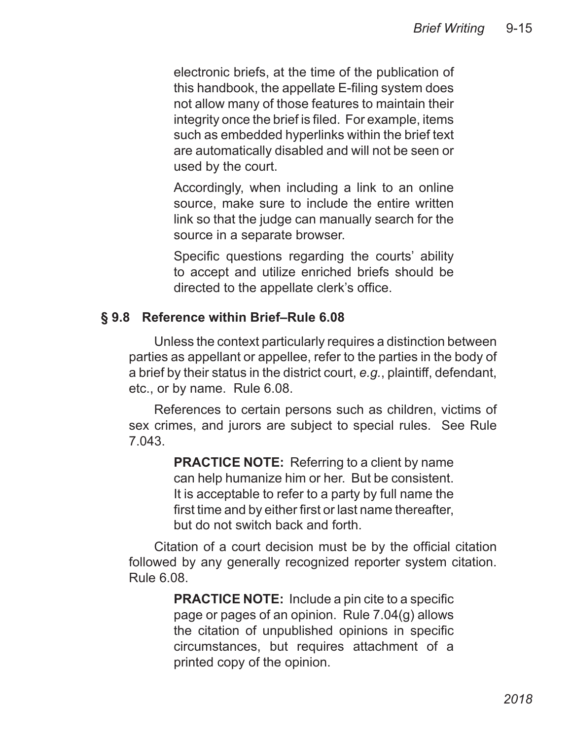electronic briefs, at the time of the publication of this handbook, the appellate E-filing system does not allow many of those features to maintain their integrity once the brief is filed. For example, items such as embedded hyperlinks within the brief text are automatically disabled and will not be seen or used by the court.

Accordingly, when including a link to an online source, make sure to include the entire written link so that the judge can manually search for the source in a separate browser.

Specific questions regarding the courts' ability to accept and utilize enriched briefs should be directed to the appellate clerk's office.

# **§ 9.8 Reference within Brief–Rule 6.08**

Unless the context particularly requires a distinction between parties as appellant or appellee, refer to the parties in the body of a brief by their status in the district court, *e.g.*, plaintiff, defendant, etc., or by name. Rule 6.08.

References to certain persons such as children, victims of sex crimes, and jurors are subject to special rules. See Rule 7.043.

> **PRACTICE NOTE:** Referring to a client by name can help humanize him or her. But be consistent. It is acceptable to refer to a party by full name the first time and by either first or last name thereafter, but do not switch back and forth.

Citation of a court decision must be by the official citation followed by any generally recognized reporter system citation. Rule 6.08.

> **PRACTICE NOTE:** Include a pin cite to a specific page or pages of an opinion. Rule 7.04(g) allows the citation of unpublished opinions in specific circumstances, but requires attachment of a printed copy of the opinion.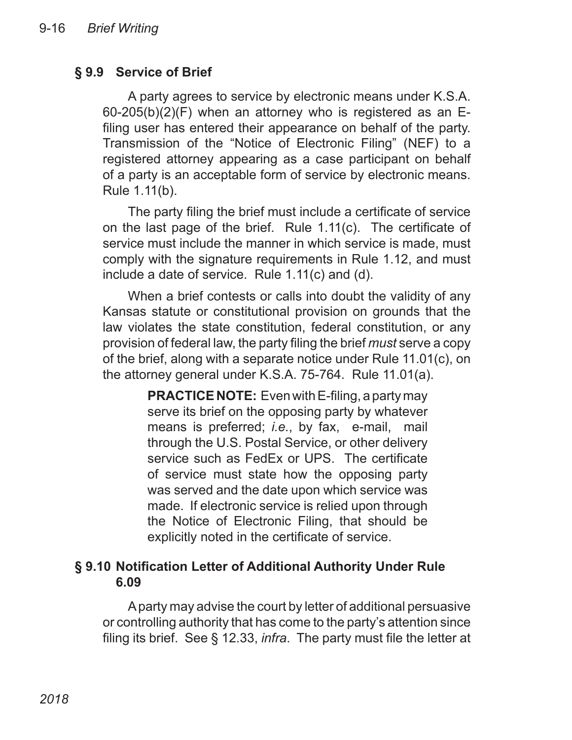## **§ 9.9 Service of Brief**

A party agrees to service by electronic means under K.S.A. 60-205(b)(2)(F) when an attorney who is registered as an Efiling user has entered their appearance on behalf of the party. Transmission of the "Notice of Electronic Filing" (NEF) to a registered attorney appearing as a case participant on behalf of a party is an acceptable form of service by electronic means. Rule 1.11(b).

The party filing the brief must include a certificate of service on the last page of the brief. Rule 1.11(c). The certificate of service must include the manner in which service is made, must comply with the signature requirements in Rule 1.12, and must include a date of service. Rule 1.11(c) and (d).

When a brief contests or calls into doubt the validity of any Kansas statute or constitutional provision on grounds that the law violates the state constitution, federal constitution, or any provision of federal law, the party filing the brief *must* serve a copy of the brief, along with a separate notice under Rule 11.01(c), on the attorney general under K.S.A. 75-764. Rule 11.01(a).

> **PRACTICE NOTE:** Even with E-filing, a party may serve its brief on the opposing party by whatever means is preferred; *i.e.*, by fax, e-mail, mail through the U.S. Postal Service, or other delivery service such as FedEx or UPS. The certificate of service must state how the opposing party was served and the date upon which service was made. If electronic service is relied upon through the Notice of Electronic Filing, that should be explicitly noted in the certificate of service.

# **§ 9.10 Notification Letter of Additional Authority Under Rule 6.09**

A party may advise the court by letter of additional persuasive or controlling authority that has come to the party's attention since filing its brief. See § 12.33, *infra*. The party must file the letter at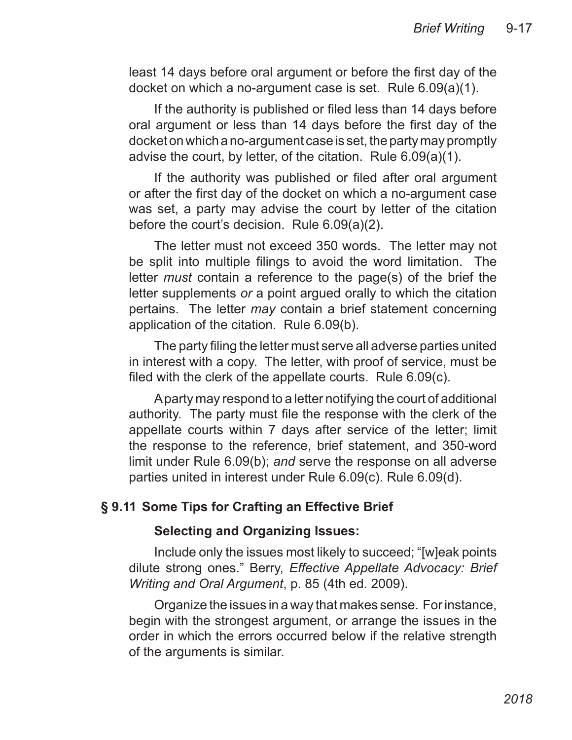least 14 days before oral argument or before the first day of the docket on which a no-argument case is set. Rule 6.09(a)(1).

If the authority is published or filed less than 14 days before oral argument or less than 14 days before the first day of the docket on which a no-argument case is set, the party may promptly advise the court, by letter, of the citation. Rule 6.09(a)(1).

If the authority was published or filed after oral argument or after the first day of the docket on which a no-argument case was set, a party may advise the court by letter of the citation before the court's decision. Rule 6.09(a)(2).

The letter must not exceed 350 words. The letter may not be split into multiple filings to avoid the word limitation. The letter *must* contain a reference to the page(s) of the brief the letter supplements *or* a point argued orally to which the citation pertains. The letter *may* contain a brief statement concerning application of the citation. Rule 6.09(b).

The party filing the letter must serve all adverse parties united in interest with a copy. The letter, with proof of service, must be filed with the clerk of the appellate courts. Rule 6.09(c).

A party may respond to a letter notifying the court of additional authority. The party must file the response with the clerk of the appellate courts within 7 days after service of the letter; limit the response to the reference, brief statement, and 350-word limit under Rule 6.09(b); *and* serve the response on all adverse parties united in interest under Rule 6.09(c). Rule 6.09(d).

## **§ 9.11 Some Tips for Crafting an Effective Brief**

#### **Selecting and Organizing Issues:**

Include only the issues most likely to succeed; "[w]eak points dilute strong ones." Berry, *Effective Appellate Advocacy: Brief Writing and Oral Argument*, p. 85 (4th ed. 2009).

Organize the issues in a way that makes sense. For instance, begin with the strongest argument, or arrange the issues in the order in which the errors occurred below if the relative strength of the arguments is similar.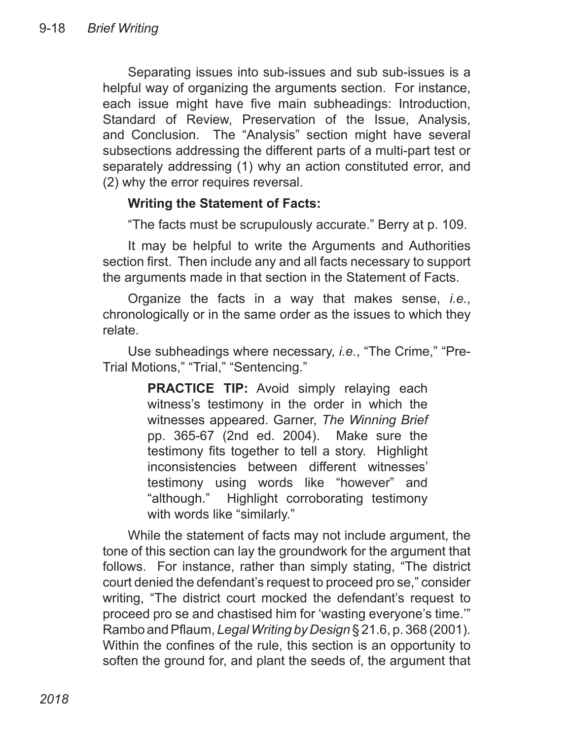Separating issues into sub-issues and sub sub-issues is a helpful way of organizing the arguments section. For instance, each issue might have five main subheadings: Introduction, Standard of Review, Preservation of the Issue, Analysis, and Conclusion. The "Analysis" section might have several subsections addressing the different parts of a multi-part test or separately addressing (1) why an action constituted error, and (2) why the error requires reversal.

## **Writing the Statement of Facts:**

"The facts must be scrupulously accurate." Berry at p. 109.

It may be helpful to write the Arguments and Authorities section first. Then include any and all facts necessary to support the arguments made in that section in the Statement of Facts.

Organize the facts in a way that makes sense, *i.e.*, chronologically or in the same order as the issues to which they relate.

Use subheadings where necessary, *i.e.*, "The Crime," "Pre-Trial Motions," "Trial," "Sentencing."

> **PRACTICE TIP:** Avoid simply relaying each witness's testimony in the order in which the witnesses appeared. Garner, *The Winning Brief* pp. 365-67 (2nd ed. 2004). Make sure the testimony fits together to tell a story. Highlight inconsistencies between different witnesses' testimony using words like "however" and "although." Highlight corroborating testimony with words like "similarly."

While the statement of facts may not include argument, the tone of this section can lay the groundwork for the argument that follows. For instance, rather than simply stating, "The district court denied the defendant's request to proceed pro se," consider writing, "The district court mocked the defendant's request to proceed pro se and chastised him for 'wasting everyone's time.'" Rambo and Pflaum, *Legal Writing by Design* § 21.6, p. 368 (2001). Within the confines of the rule, this section is an opportunity to soften the ground for, and plant the seeds of, the argument that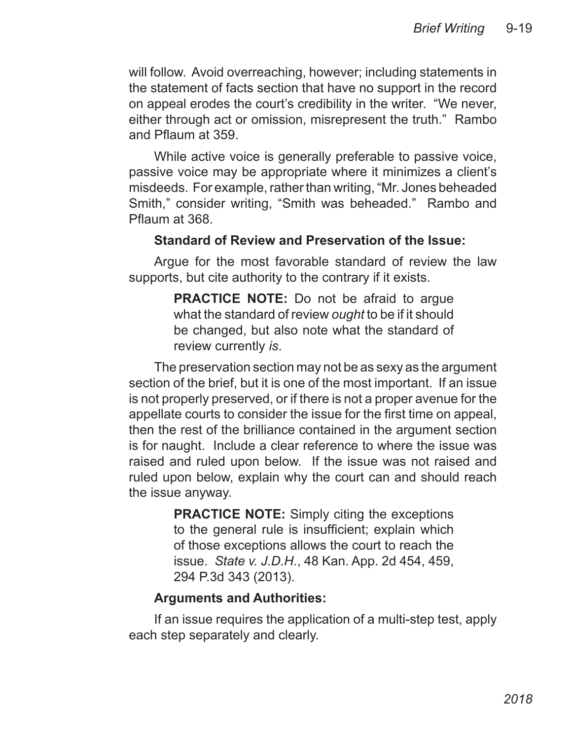will follow. Avoid overreaching, however; including statements in the statement of facts section that have no support in the record on appeal erodes the court's credibility in the writer. "We never, either through act or omission, misrepresent the truth." Rambo and Pflaum at 359.

While active voice is generally preferable to passive voice, passive voice may be appropriate where it minimizes a client's misdeeds. For example, rather than writing, "Mr. Jones beheaded Smith," consider writing, "Smith was beheaded." Rambo and Pflaum at 368.

#### **Standard of Review and Preservation of the Issue:**

Argue for the most favorable standard of review the law supports, but cite authority to the contrary if it exists.

> **PRACTICE NOTE:** Do not be afraid to arque what the standard of review *ought* to be if it should be changed, but also note what the standard of review currently *is*.

The preservation section may not be as sexy as the argument section of the brief, but it is one of the most important. If an issue is not properly preserved, or if there is not a proper avenue for the appellate courts to consider the issue for the first time on appeal, then the rest of the brilliance contained in the argument section is for naught. Include a clear reference to where the issue was raised and ruled upon below. If the issue was not raised and ruled upon below, explain why the court can and should reach the issue anyway.

> **PRACTICE NOTE:** Simply citing the exceptions to the general rule is insufficient; explain which of those exceptions allows the court to reach the issue. *State v. J.D.H.*, 48 Kan. App. 2d 454, 459, 294 P.3d 343 (2013).

## **Arguments and Authorities:**

If an issue requires the application of a multi-step test, apply each step separately and clearly.